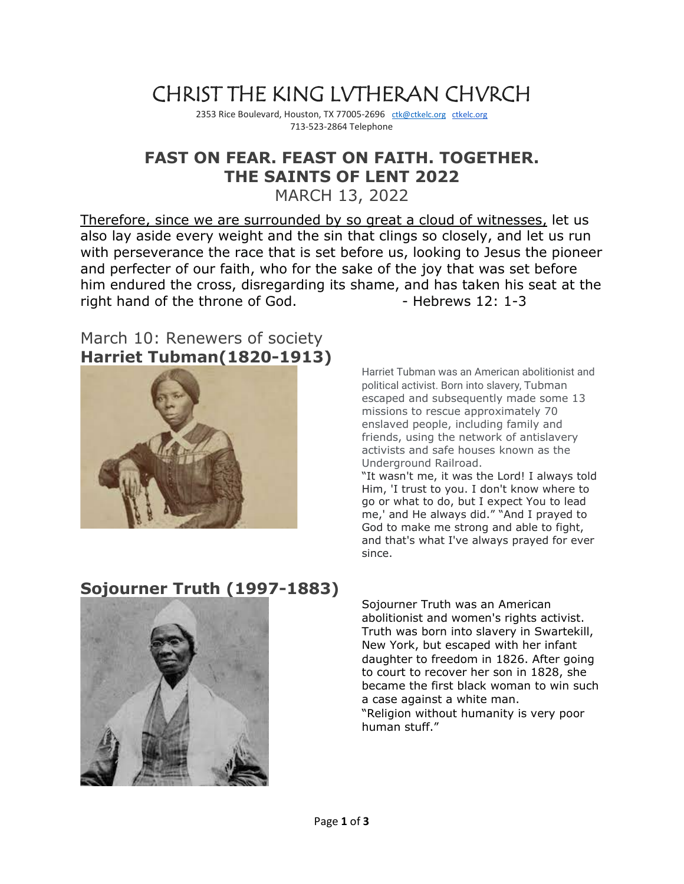# CHRIST THE KING LVTHERAN CHVRCH

2353 Rice Boulevard, Houston, TX 77005-2696 [ctk@ctkelc.org](mailto:ctk@ctkelc.org) [ctkelc.org](http://ctkelc.org/) 713-523-2864 Telephone

## **FAST ON FEAR. FEAST ON FAITH. TOGETHER. THE SAINTS OF LENT 2022**

MARCH 13, 2022

Therefore, since we are surrounded by so great a cloud of witnesses, let us also lay aside every weight and the sin that clings so closely, and let us run with perseverance the race that is set before us, looking to Jesus the pioneer and perfecter of our faith, who for the sake of the joy that was set before him endured the cross, disregarding its shame, and has taken his seat at the right hand of the throne of God. - Hebrews 12: 1-3

#### March 10: Renewers of society **Harriet Tubman(1820-1913)**



Harriet Tubman was an American abolitionist and political activist. Born into slavery, Tubman escaped and subsequently made some 13 missions to rescue approximately 70 enslaved people, including family and friends, using the network of antislavery activists and safe houses known as the Underground Railroad.

"It wasn't me, it was the Lord! I always told Him, 'I trust to you. I don't know where to go or what to do, but I expect You to lead me,' and He always did." "And I prayed to God to make me strong and able to fight, and that's what I've always prayed for ever since.

## **Sojourner Truth (1997-1883)**



Sojourner Truth was an American abolitionist and women's rights activist. Truth was born into slavery in Swartekill, New York, but escaped with her infant daughter to freedom in 1826. After going to court to recover her son in 1828, she became the first black woman to win such a case against a white man. "Religion without humanity is very poor human stuff."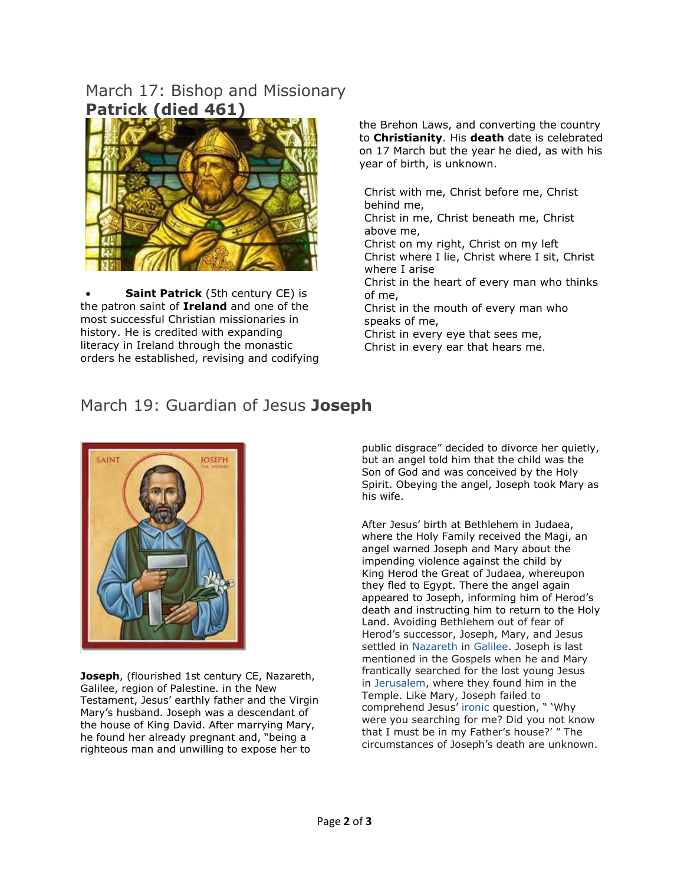#### March 17: Bishop and Missionary **Patrick (died 461)**



**[Saint Patrick](https://www.worldhistory.org/Saint_Patrick/)** (5th century CE) is the patron saint of **[Ireland](https://www.worldhistory.org/ireland/)** and one of the most successful Christian missionaries in history. He is credited with expanding literacy in Ireland through the monastic orders he established, revising and codifying the Brehon Laws, and converting the country to **[Christianity](https://www.worldhistory.org/christianity/)**. His **[death](https://www.worldhistory.org/disambiguation/Death/)** date is celebrated on 17 March but the year he died, as with his year of birth, is unknown.

[Christ](https://en.wikipedia.org/wiki/Christ) with me, Christ before me, Christ behind me,

Christ in me, Christ beneath me, Christ above me,

Christ on my right, Christ on my left Christ where I lie, Christ where I sit, Christ where I arise

Christ in the heart of every man who thinks of me,

Christ in the mouth of every man who speaks of me,

Christ in every eye that sees me, Christ in every ear that hears me.

## March 19: Guardian of Jesus **Joseph**



**Joseph**, (flourished 1st century CE, Nazareth, Galilee, region of Palestine. in the [New](https://www.britannica.com/topic/New-Testament)  [Testament,](https://www.britannica.com/topic/New-Testament) [Jesus'](https://www.britannica.com/biography/Jesus) earthly father and the [Virgin](https://www.britannica.com/biography/Mary-mother-of-Jesus)  [Mary'](https://www.britannica.com/biography/Mary-mother-of-Jesus)s husband. Joseph was a [descendant](https://www.britannica.com/dictionary/descendant) of the house of [King David.](https://www.britannica.com/biography/David) After marrying [Mary,](https://www.britannica.com/biography/Mary-mother-of-Jesus) he found her already pregnant and, "being a righteous man and unwilling to expose her to

public disgrace" decided to divorce her quietly, but an angel told him that the child was the Son of God and was conceived by the [Holy](https://www.britannica.com/topic/Holy-Spirit)  [Spirit.](https://www.britannica.com/topic/Holy-Spirit) Obeying the angel, Joseph took Mary as his wife.

After Jesus' birth at [Bethlehem](https://www.britannica.com/place/Bethlehem) in [Judaea,](https://www.britannica.com/place/Judaea) where the [Holy Family](https://www.britannica.com/art/Holy-Family) received the [Magi,](https://www.britannica.com/topic/Magi) an angel warned Joseph and Mary about the impending violence against the child by King [Herod the Great](https://www.britannica.com/biography/Herod-king-of-Judaea) of Judaea, whereupon they fled to Egypt. There the angel again appeared to Joseph, informing him of Herod's death and instructing him to return to the Holy Land. Avoiding Bethlehem out of fear of Herod's successor, Joseph, Mary, and Jesus settled in [Nazareth](https://www.britannica.com/place/Nazareth-Israel) in [Galilee.](https://www.britannica.com/place/Galilee-region-Israel) Joseph is last mentioned in the Gospels when he and Mary frantically searched for the lost young Jesus in [Jerusalem,](https://www.britannica.com/place/Jerusalem) where they found him in the Temple. Like Mary, Joseph failed to comprehend Jesus' [ironic](https://www.merriam-webster.com/dictionary/ironic) question, " 'Why were you searching for me? Did you not know that I must be in my Father's house?' " The circumstances of Joseph's death are unknown.